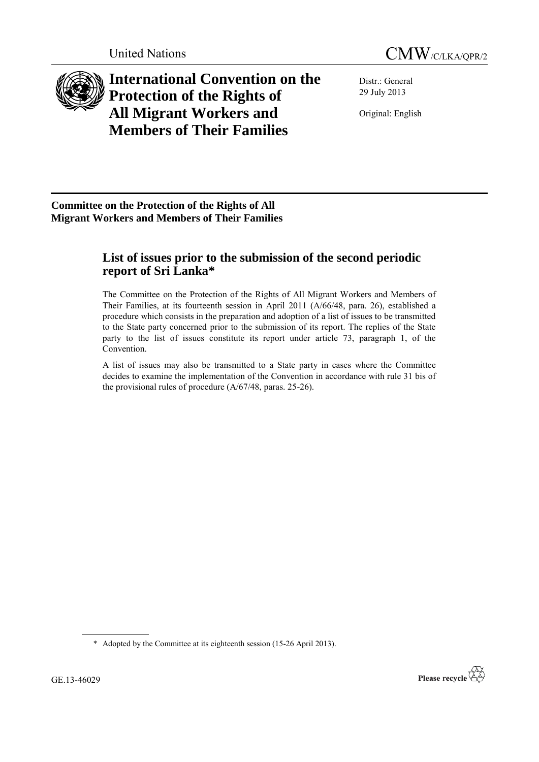



**International Convention on the Protection of the Rights of All Migrant Workers and Members of Their Families**

Distr.: General 29 July 2013

Original: English

**Committee on the Protection of the Rights of All Migrant Workers and Members of Their Families**

# **List of issues prior to the submission of the second periodic report of Sri Lanka\***

The Committee on the Protection of the Rights of All Migrant Workers and Members of Their Families, at its fourteenth session in April 2011 (A/66/48, para. 26), established a procedure which consists in the preparation and adoption of a list of issues to be transmitted to the State party concerned prior to the submission of its report. The replies of the State party to the list of issues constitute its report under article 73, paragraph 1, of the Convention.

A list of issues may also be transmitted to a State party in cases where the Committee decides to examine the implementation of the Convention in accordance with rule 31 bis of the provisional rules of procedure (A/67/48, paras. 25-26).

\* Adopted by the Committee at its eighteenth session (15-26 April 2013).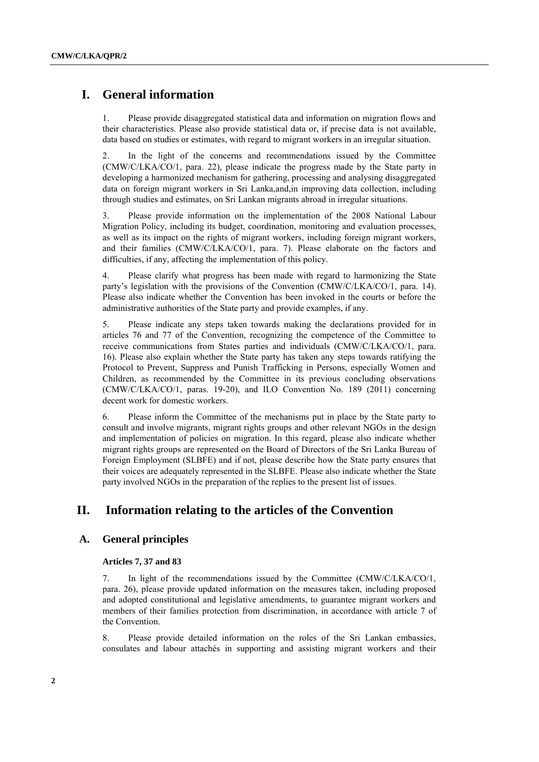## **I. General information**

1. Please provide disaggregated statistical data and information on migration flows and their characteristics. Please also provide statistical data or, if precise data is not available, data based on studies or estimates, with regard to migrant workers in an irregular situation.

2. In the light of the concerns and recommendations issued by the Committee (CMW/C/LKA/CO/1, para. 22), please indicate the progress made by the State party in developing a harmonized mechanism for gathering, processing and analysing disaggregated data on foreign migrant workers in Sri Lanka,and,in improving data collection, including through studies and estimates, on Sri Lankan migrants abroad in irregular situations.

3. Please provide information on the implementation of the 2008 National Labour Migration Policy, including its budget, coordination, monitoring and evaluation processes, as well as its impact on the rights of migrant workers, including foreign migrant workers, and their families (CMW/C/LKA/CO/1, para. 7). Please elaborate on the factors and difficulties, if any, affecting the implementation of this policy.

4. Please clarify what progress has been made with regard to harmonizing the State party's legislation with the provisions of the Convention (CMW/C/LKA/CO/1, para. 14). Please also indicate whether the Convention has been invoked in the courts or before the administrative authorities of the State party and provide examples, if any.

5. Please indicate any steps taken towards making the declarations provided for in articles 76 and 77 of the Convention, recognizing the competence of the Committee to receive communications from States parties and individuals (CMW/C/LKA/CO/1, para. 16). Please also explain whether the State party has taken any steps towards ratifying the Protocol to Prevent, Suppress and Punish Trafficking in Persons, especially Women and Children, as recommended by the Committee in its previous concluding observations (CMW/C/LKA/CO/1, paras. 19-20), and ILO Convention No. 189 (2011) concerning decent work for domestic workers.

6. Please inform the Committee of the mechanisms put in place by the State party to consult and involve migrants, migrant rights groups and other relevant NGOs in the design and implementation of policies on migration. In this regard, please also indicate whether migrant rights groups are represented on the Board of Directors of the Sri Lanka Bureau of Foreign Employment (SLBFE) and if not, please describe how the State party ensures that their voices are adequately represented in the SLBFE. Please also indicate whether the State party involved NGOs in the preparation of the replies to the present list of issues.

## **II. Information relating to the articles of the Convention**

### **A. General principles**

### **Articles 7, 37 and 83**

7. In light of the recommendations issued by the Committee (CMW/C/LKA/CO/1, para. 26), please provide updated information on the measures taken, including proposed and adopted constitutional and legislative amendments, to guarantee migrant workers and members of their families protection from discrimination, in accordance with article 7 of the Convention.

8. Please provide detailed information on the roles of the Sri Lankan embassies, consulates and labour attachés in supporting and assisting migrant workers and their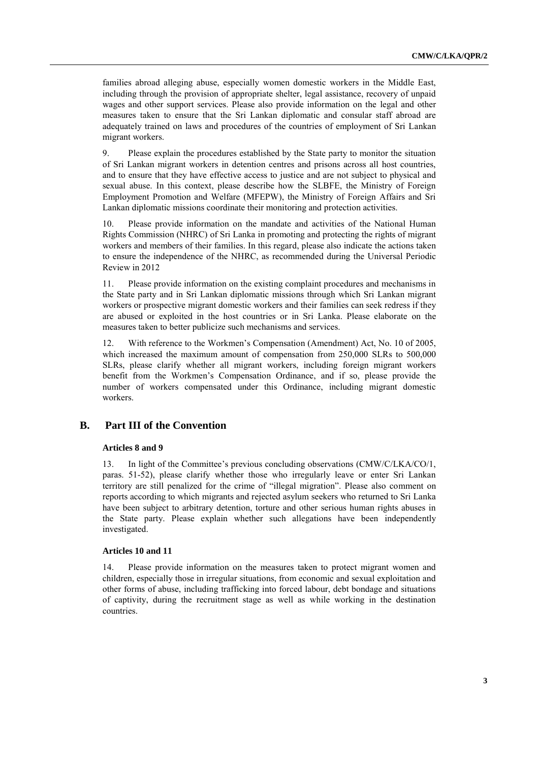families abroad alleging abuse, especially women domestic workers in the Middle East, including through the provision of appropriate shelter, legal assistance, recovery of unpaid wages and other support services. Please also provide information on the legal and other measures taken to ensure that the Sri Lankan diplomatic and consular staff abroad are adequately trained on laws and procedures of the countries of employment of Sri Lankan migrant workers.

9. Please explain the procedures established by the State party to monitor the situation of Sri Lankan migrant workers in detention centres and prisons across all host countries, and to ensure that they have effective access to justice and are not subject to physical and sexual abuse. In this context, please describe how the SLBFE, the Ministry of Foreign Employment Promotion and Welfare (MFEPW), the Ministry of Foreign Affairs and Sri Lankan diplomatic missions coordinate their monitoring and protection activities.

10. Please provide information on the mandate and activities of the National Human Rights Commission (NHRC) of Sri Lanka in promoting and protecting the rights of migrant workers and members of their families. In this regard, please also indicate the actions taken to ensure the independence of the NHRC, as recommended during the Universal Periodic Review in 2012

11. Please provide information on the existing complaint procedures and mechanisms in the State party and in Sri Lankan diplomatic missions through which Sri Lankan migrant workers or prospective migrant domestic workers and their families can seek redress if they are abused or exploited in the host countries or in Sri Lanka. Please elaborate on the measures taken to better publicize such mechanisms and services.

12. With reference to the Workmen's Compensation (Amendment) Act, No. 10 of 2005, which increased the maximum amount of compensation from 250,000 SLRs to 500,000 SLRs, please clarify whether all migrant workers, including foreign migrant workers benefit from the Workmen's Compensation Ordinance, and if so, please provide the number of workers compensated under this Ordinance, including migrant domestic workers.

## **B. Part III of the Convention**

### **Articles 8 and 9**

13. In light of the Committee's previous concluding observations (CMW/C/LKA/CO/1, paras. 51-52), please clarify whether those who irregularly leave or enter Sri Lankan territory are still penalized for the crime of "illegal migration". Please also comment on reports according to which migrants and rejected asylum seekers who returned to Sri Lanka have been subject to arbitrary detention, torture and other serious human rights abuses in the State party. Please explain whether such allegations have been independently investigated.

#### **Articles 10 and 11**

14. Please provide information on the measures taken to protect migrant women and children, especially those in irregular situations, from economic and sexual exploitation and other forms of abuse, including trafficking into forced labour, debt bondage and situations of captivity, during the recruitment stage as well as while working in the destination countries.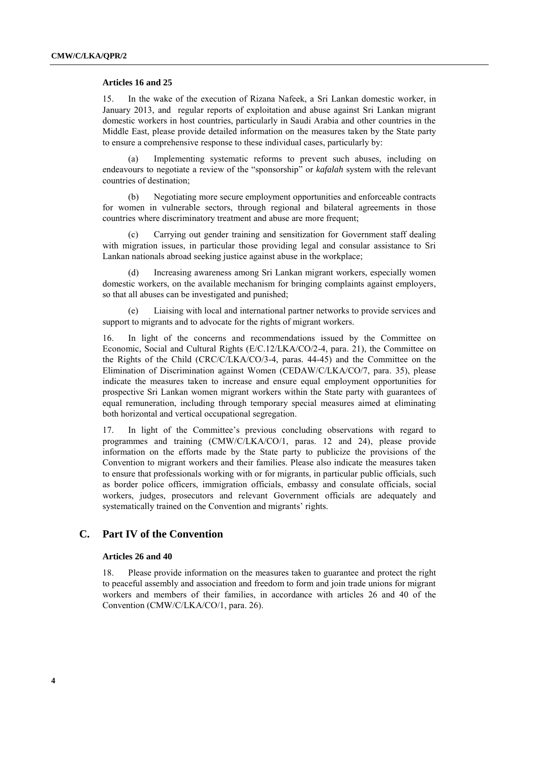#### **Articles 16 and 25**

15. In the wake of the execution of Rizana Nafeek, a Sri Lankan domestic worker, in January 2013, and regular reports of exploitation and abuse against Sri Lankan migrant domestic workers in host countries, particularly in Saudi Arabia and other countries in the Middle East, please provide detailed information on the measures taken by the State party to ensure a comprehensive response to these individual cases, particularly by:

(a) Implementing systematic reforms to prevent such abuses, including on endeavours to negotiate a review of the "sponsorship" or *kafalah* system with the relevant countries of destination;

(b) Negotiating more secure employment opportunities and enforceable contracts for women in vulnerable sectors, through regional and bilateral agreements in those countries where discriminatory treatment and abuse are more frequent;

(c) Carrying out gender training and sensitization for Government staff dealing with migration issues, in particular those providing legal and consular assistance to Sri Lankan nationals abroad seeking justice against abuse in the workplace;

Increasing awareness among Sri Lankan migrant workers, especially women domestic workers, on the available mechanism for bringing complaints against employers, so that all abuses can be investigated and punished;

(e) Liaising with local and international partner networks to provide services and support to migrants and to advocate for the rights of migrant workers.

16. In light of the concerns and recommendations issued by the Committee on Economic, Social and Cultural Rights (E/C.12/LKA/CO/2-4, para. 21), the Committee on the Rights of the Child (CRC/C/LKA/CO/3-4, paras. 44-45) and the Committee on the Elimination of Discrimination against Women (CEDAW/C/LKA/CO/7, para. 35), please indicate the measures taken to increase and ensure equal employment opportunities for prospective Sri Lankan women migrant workers within the State party with guarantees of equal remuneration, including through temporary special measures aimed at eliminating both horizontal and vertical occupational segregation.

17. In light of the Committee's previous concluding observations with regard to programmes and training (CMW/C/LKA/CO/1, paras. 12 and 24), please provide information on the efforts made by the State party to publicize the provisions of the Convention to migrant workers and their families. Please also indicate the measures taken to ensure that professionals working with or for migrants, in particular public officials, such as border police officers, immigration officials, embassy and consulate officials, social workers, judges, prosecutors and relevant Government officials are adequately and systematically trained on the Convention and migrants' rights.

## **C. Part IV of the Convention**

#### **Articles 26 and 40**

18. Please provide information on the measures taken to guarantee and protect the right to peaceful assembly and association and freedom to form and join trade unions for migrant workers and members of their families, in accordance with articles 26 and 40 of the Convention (CMW/C/LKA/CO/1, para. 26).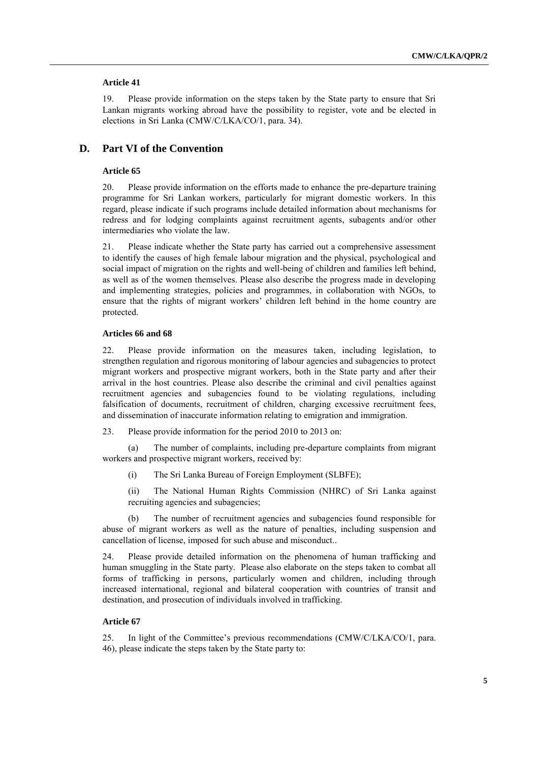### **Article 41**

19. Please provide information on the steps taken by the State party to ensure that Sri Lankan migrants working abroad have the possibility to register, vote and be elected in elections in Sri Lanka (CMW/C/LKA/CO/1, para. 34).

### **D. Part VI of the Convention**

### **Article 65**

20. Please provide information on the efforts made to enhance the pre-departure training programme for Sri Lankan workers, particularly for migrant domestic workers. In this regard, please indicate if such programs include detailed information about mechanisms for redress and for lodging complaints against recruitment agents, subagents and/or other intermediaries who violate the law.

21. Please indicate whether the State party has carried out a comprehensive assessment to identify the causes of high female labour migration and the physical, psychological and social impact of migration on the rights and well-being of children and families left behind, as well as of the women themselves. Please also describe the progress made in developing and implementing strategies, policies and programmes, in collaboration with NGOs, to ensure that the rights of migrant workers' children left behind in the home country are protected.

### **Articles 66 and 68**

22. Please provide information on the measures taken, including legislation, to strengthen regulation and rigorous monitoring of labour agencies and subagencies to protect migrant workers and prospective migrant workers, both in the State party and after their arrival in the host countries. Please also describe the criminal and civil penalties against recruitment agencies and subagencies found to be violating regulations, including falsification of documents, recruitment of children, charging excessive recruitment fees, and dissemination of inaccurate information relating to emigration and immigration.

23. Please provide information for the period 2010 to 2013 on:

(a) The number of complaints, including pre-departure complaints from migrant workers and prospective migrant workers, received by:

(i) The Sri Lanka Bureau of Foreign Employment (SLBFE);

(ii) The National Human Rights Commission (NHRC) of Sri Lanka against recruiting agencies and subagencies;

(b) The number of recruitment agencies and subagencies found responsible for abuse of migrant workers as well as the nature of penalties, including suspension and cancellation of license, imposed for such abuse and misconduct..

24. Please provide detailed information on the phenomena of human trafficking and human smuggling in the State party. Please also elaborate on the steps taken to combat all forms of trafficking in persons, particularly women and children, including through increased international, regional and bilateral cooperation with countries of transit and destination, and prosecution of individuals involved in trafficking.

#### **Article 67**

25. In light of the Committee's previous recommendations (CMW/C/LKA/CO/1, para. 46), please indicate the steps taken by the State party to: